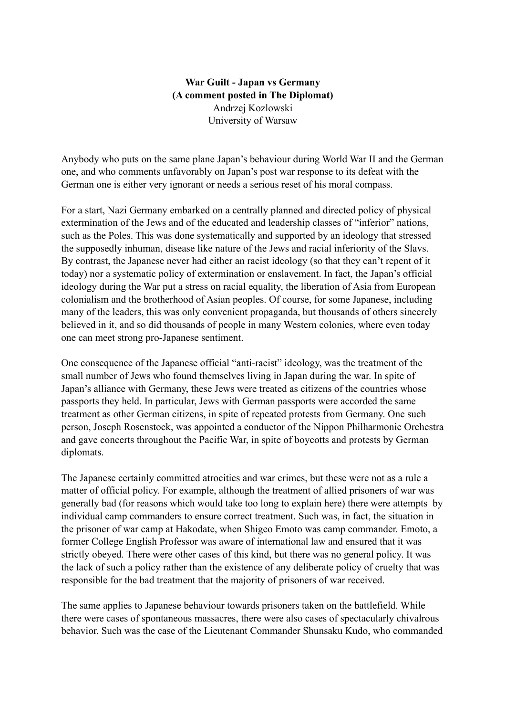## **War Guilt - Japan vs Germany (A comment posted in The Diplomat)** Andrzej Kozlowski University of Warsaw

Anybody who puts on the same plane Japan's behaviour during World War II and the German one, and who comments unfavorably on Japan's post war response to its defeat with the German one is either very ignorant or needs a serious reset of his moral compass.

For a start, Nazi Germany embarked on a centrally planned and directed policy of physical extermination of the Jews and of the educated and leadership classes of "inferior" nations, such as the Poles. This was done systematically and supported by an ideology that stressed the supposedly inhuman, disease like nature of the Jews and racial inferiority of the Slavs. By contrast, the Japanese never had either an racist ideology (so that they can't repent of it today) nor a systematic policy of extermination or enslavement. In fact, the Japan's official ideology during the War put a stress on racial equality, the liberation of Asia from European colonialism and the brotherhood of Asian peoples. Of course, for some Japanese, including many of the leaders, this was only convenient propaganda, but thousands of others sincerely believed in it, and so did thousands of people in many Western colonies, where even today one can meet strong pro-Japanese sentiment.

One consequence of the Japanese official "anti-racist" ideology, was the treatment of the small number of Jews who found themselves living in Japan during the war. In spite of Japan's alliance with Germany, these Jews were treated as citizens of the countries whose passports they held. In particular, Jews with German passports were accorded the same treatment as other German citizens, in spite of repeated protests from Germany. One such person, Joseph Rosenstock, was appointed a conductor of the Nippon Philharmonic Orchestra and gave concerts throughout the Pacific War, in spite of boycotts and protests by German diplomats.

The Japanese certainly committed atrocities and war crimes, but these were not as a rule a matter of official policy. For example, although the treatment of allied prisoners of war was generally bad (for reasons which would take too long to explain here) there were attempts by individual camp commanders to ensure correct treatment. Such was, in fact, the situation in the prisoner of war camp at Hakodate, when Shigeo Emoto was camp commander. Emoto, a former College English Professor was aware of international law and ensured that it was strictly obeyed. There were other cases of this kind, but there was no general policy. It was the lack of such a policy rather than the existence of any deliberate policy of cruelty that was responsible for the bad treatment that the majority of prisoners of war received.

The same applies to Japanese behaviour towards prisoners taken on the battlefield. While there were cases of spontaneous massacres, there were also cases of spectacularly chivalrous behavior. Such was the case of the Lieutenant Commander Shunsaku Kudo, who commanded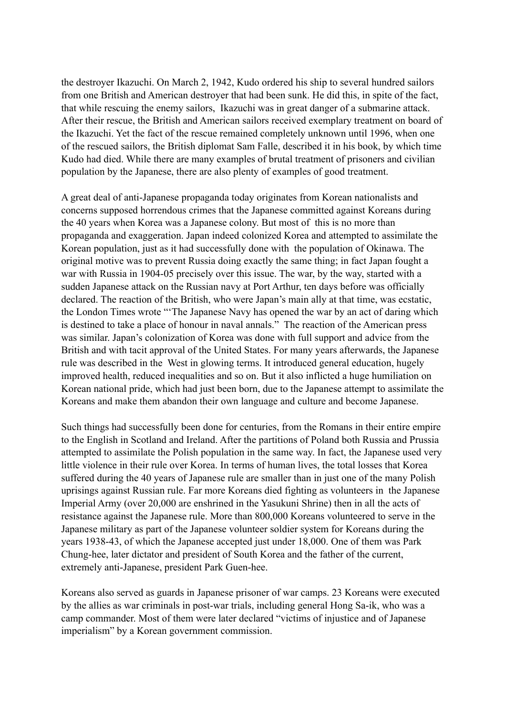the destroyer Ikazuchi. On March 2, 1942, Kudo ordered his ship to several hundred sailors from one British and American destroyer that had been sunk. He did this, in spite of the fact, that while rescuing the enemy sailors, Ikazuchi was in great danger of a submarine attack. After their rescue, the British and American sailors received exemplary treatment on board of the Ikazuchi. Yet the fact of the rescue remained completely unknown until 1996, when one of the rescued sailors, the British diplomat Sam Falle, described it in his book, by which time Kudo had died. While there are many examples of brutal treatment of prisoners and civilian population by the Japanese, there are also plenty of examples of good treatment.

A great deal of anti-Japanese propaganda today originates from Korean nationalists and concerns supposed horrendous crimes that the Japanese committed against Koreans during the 40 years when Korea was a Japanese colony. But most of this is no more than propaganda and exaggeration. Japan indeed colonized Korea and attempted to assimilate the Korean population, just as it had successfully done with the population of Okinawa. The original motive was to prevent Russia doing exactly the same thing; in fact Japan fought a war with Russia in 1904-05 precisely over this issue. The war, by the way, started with a sudden Japanese attack on the Russian navy at Port Arthur, ten days before was officially declared. The reaction of the British, who were Japan's main ally at that time, was ecstatic, the London Times wrote "'The Japanese Navy has opened the war by an act of daring which is destined to take a place of honour in naval annals." The reaction of the American press was similar. Japan's colonization of Korea was done with full support and advice from the British and with tacit approval of the United States. For many years afterwards, the Japanese rule was described in the West in glowing terms. It introduced general education, hugely improved health, reduced inequalities and so on. But it also inflicted a huge humiliation on Korean national pride, which had just been born, due to the Japanese attempt to assimilate the Koreans and make them abandon their own language and culture and become Japanese.

Such things had successfully been done for centuries, from the Romans in their entire empire to the English in Scotland and Ireland. After the partitions of Poland both Russia and Prussia attempted to assimilate the Polish population in the same way. In fact, the Japanese used very little violence in their rule over Korea. In terms of human lives, the total losses that Korea suffered during the 40 years of Japanese rule are smaller than in just one of the many Polish uprisings against Russian rule. Far more Koreans died fighting as volunteers in the Japanese Imperial Army (over 20,000 are enshrined in the Yasukuni Shrine) then in all the acts of resistance against the Japanese rule. More than 800,000 Koreans volunteered to serve in the Japanese military as part of the Japanese volunteer soldier system for Koreans during the years 1938-43, of which the Japanese accepted just under 18,000. One of them was Park Chung-hee, later dictator and president of South Korea and the father of the current, extremely anti-Japanese, president Park Guen-hee.

Koreans also served as guards in Japanese prisoner of war camps. 23 Koreans were executed by the allies as war criminals in post-war trials, including general Hong Sa-ik, who was a camp commander. Most of them were later declared "victims of injustice and of Japanese imperialism" by a Korean government commission.